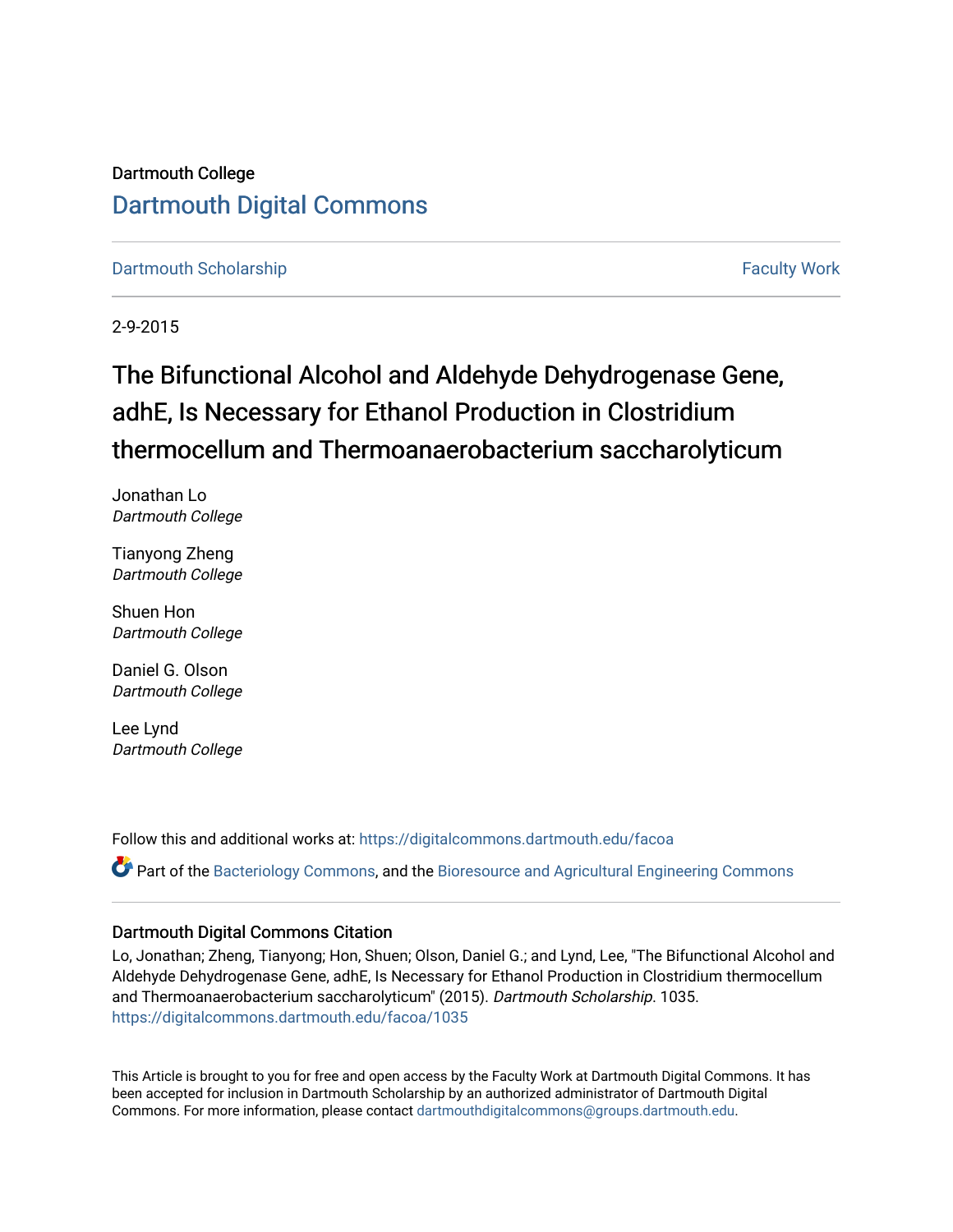### Dartmouth College [Dartmouth Digital Commons](https://digitalcommons.dartmouth.edu/)

[Dartmouth Scholarship](https://digitalcommons.dartmouth.edu/facoa) [Faculty Work](https://digitalcommons.dartmouth.edu/faculty) and The Basic Scholarship Faculty Work Faculty Work

2-9-2015

# The Bifunctional Alcohol and Aldehyde Dehydrogenase Gene, adhE, Is Necessary for Ethanol Production in Clostridium thermocellum and Thermoanaerobacterium saccharolyticum

Jonathan Lo Dartmouth College

Tianyong Zheng Dartmouth College

Shuen Hon Dartmouth College

Daniel G. Olson Dartmouth College

Lee Lynd Dartmouth College

Follow this and additional works at: [https://digitalcommons.dartmouth.edu/facoa](https://digitalcommons.dartmouth.edu/facoa?utm_source=digitalcommons.dartmouth.edu%2Ffacoa%2F1035&utm_medium=PDF&utm_campaign=PDFCoverPages)

Part of the [Bacteriology Commons](http://network.bepress.com/hgg/discipline/49?utm_source=digitalcommons.dartmouth.edu%2Ffacoa%2F1035&utm_medium=PDF&utm_campaign=PDFCoverPages), and the [Bioresource and Agricultural Engineering Commons](http://network.bepress.com/hgg/discipline/1056?utm_source=digitalcommons.dartmouth.edu%2Ffacoa%2F1035&utm_medium=PDF&utm_campaign=PDFCoverPages)

### Dartmouth Digital Commons Citation

Lo, Jonathan; Zheng, Tianyong; Hon, Shuen; Olson, Daniel G.; and Lynd, Lee, "The Bifunctional Alcohol and Aldehyde Dehydrogenase Gene, adhE, Is Necessary for Ethanol Production in Clostridium thermocellum and Thermoanaerobacterium saccharolyticum" (2015). Dartmouth Scholarship. 1035. [https://digitalcommons.dartmouth.edu/facoa/1035](https://digitalcommons.dartmouth.edu/facoa/1035?utm_source=digitalcommons.dartmouth.edu%2Ffacoa%2F1035&utm_medium=PDF&utm_campaign=PDFCoverPages) 

This Article is brought to you for free and open access by the Faculty Work at Dartmouth Digital Commons. It has been accepted for inclusion in Dartmouth Scholarship by an authorized administrator of Dartmouth Digital Commons. For more information, please contact [dartmouthdigitalcommons@groups.dartmouth.edu](mailto:dartmouthdigitalcommons@groups.dartmouth.edu).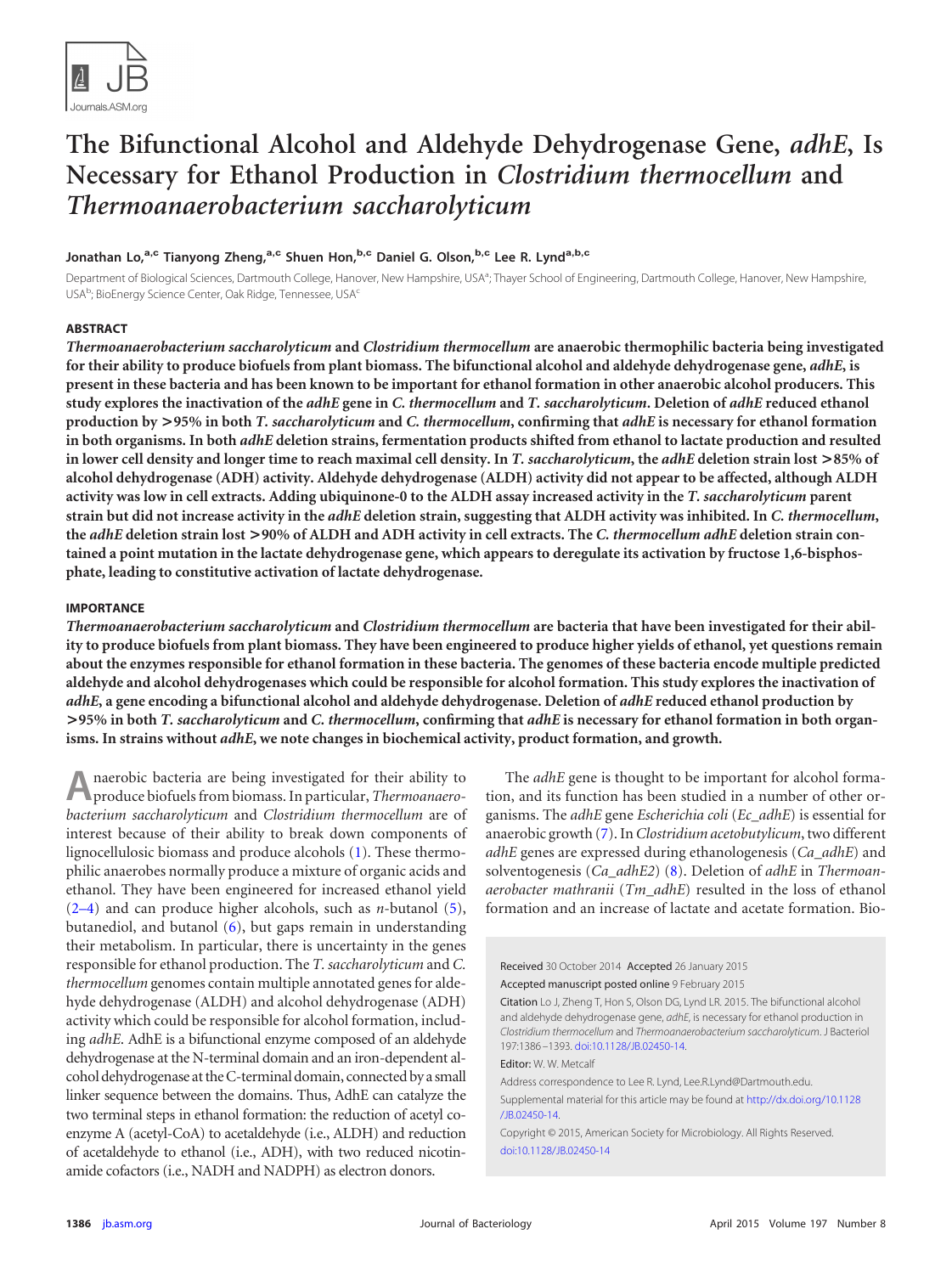

## **The Bifunctional Alcohol and Aldehyde Dehydrogenase Gene,** *adhE***, Is Necessary for Ethanol Production in** *Clostridium thermocellum* **and** *Thermoanaerobacterium saccharolyticum*

#### **Jonathan Lo,a,c Tianyong Zheng,a,c Shuen Hon,b,c Daniel G. Olson,b,c Lee R. Lynda,b,c**

Department of Biological Sciences, Dartmouth College, Hanover, New Hampshire, USA<sup>a</sup>; Thayer School of Engineering, Dartmouth College, Hanover, New Hampshire, USA<sup>b</sup>; BioEnergy Science Center, Oak Ridge, Tennessee, USA<sup>c</sup>

#### **ABSTRACT**

*Thermoanaerobacterium saccharolyticum* **and** *Clostridium thermocellum* **are anaerobic thermophilic bacteria being investigated for their ability to produce biofuels from plant biomass. The bifunctional alcohol and aldehyde dehydrogenase gene,** *adhE***, is present in these bacteria and has been known to be important for ethanol formation in other anaerobic alcohol producers. This study explores the inactivation of the** *adhE* **gene in** *C. thermocellum* **and** *T. saccharolyticum***. Deletion of** *adhE* **reduced ethanol production by >95% in both** *T. saccharolyticum* **and** *C. thermocellum***, confirming that** *adhE* **is necessary for ethanol formation in both organisms. In both** *adhE* **deletion strains, fermentation products shifted from ethanol to lactate production and resulted in lower cell density and longer time to reach maximal cell density. In** *T. saccharolyticum***, the** *adhE* **deletion strain lost >85% of alcohol dehydrogenase (ADH) activity. Aldehyde dehydrogenase (ALDH) activity did not appear to be affected, although ALDH activity was low in cell extracts. Adding ubiquinone-0 to the ALDH assay increased activity in the** *T. saccharolyticum* **parent strain but did not increase activity in the** *adhE* **deletion strain, suggesting that ALDH activity was inhibited. In** *C. thermocellum***, the** *adhE* **deletion strain lost >90% of ALDH and ADH activity in cell extracts. The** *C. thermocellum adhE* **deletion strain contained a point mutation in the lactate dehydrogenase gene, which appears to deregulate its activation by fructose 1,6-bisphosphate, leading to constitutive activation of lactate dehydrogenase.**

#### **IMPORTANCE**

*Thermoanaerobacterium saccharolyticum* **and** *Clostridium thermocellum* **are bacteria that have been investigated for their ability to produce biofuels from plant biomass. They have been engineered to produce higher yields of ethanol, yet questions remain about the enzymes responsible for ethanol formation in these bacteria. The genomes of these bacteria encode multiple predicted aldehyde and alcohol dehydrogenases which could be responsible for alcohol formation. This study explores the inactivation of** *adhE***, a gene encoding a bifunctional alcohol and aldehyde dehydrogenase. Deletion of** *adhE* **reduced ethanol production by >95% in both** *T. saccharolyticum* **and** *C. thermocellum***, confirming that** *adhE* **is necessary for ethanol formation in both organisms. In strains without** *adhE***, we note changes in biochemical activity, product formation, and growth.**

**A**naerobic bacteria are being investigated for their ability to produce biofuels from biomass. In particular, *Thermoanaerobacterium saccharolyticum* and *Clostridium thermocellum* are of interest because of their ability to break down components of lignocellulosic biomass and produce alcohols [\(1\)](#page-7-0). These thermophilic anaerobes normally produce a mixture of organic acids and ethanol. They have been engineered for increased ethanol yield [\(2](#page-7-1)[–](#page-7-2)[4\)](#page-7-3) and can produce higher alcohols, such as *n*-butanol [\(5\)](#page-7-4), butanediol, and butanol [\(6\)](#page-7-5), but gaps remain in understanding their metabolism. In particular, there is uncertainty in the genes responsible for ethanol production. The *T. saccharolyticum* and *C. thermocellum* genomes contain multiple annotated genes for aldehyde dehydrogenase (ALDH) and alcohol dehydrogenase (ADH) activity which could be responsible for alcohol formation, including *adhE*. AdhE is a bifunctional enzyme composed of an aldehyde dehydrogenase at the N-terminal domain and an iron-dependent alcohol dehydrogenase at the C-terminal domain, connected by a small linker sequence between the domains. Thus, AdhE can catalyze the two terminal steps in ethanol formation: the reduction of acetyl coenzyme A (acetyl-CoA) to acetaldehyde (i.e., ALDH) and reduction of acetaldehyde to ethanol (i.e., ADH), with two reduced nicotinamide cofactors (i.e., NADH and NADPH) as electron donors.

The *adhE* gene is thought to be important for alcohol formation, and its function has been studied in a number of other organisms. The *adhE* gene *Escherichia coli* (*Ec\_adhE*) is essential for anaerobic growth [\(7\)](#page-7-6). In*Clostridium acetobutylicum*, two different *adhE* genes are expressed during ethanologenesis (*Ca\_adhE*) and solventogenesis (*Ca\_adhE2*) [\(8\)](#page-7-7). Deletion of *adhE* in *Thermoanaerobacter mathranii* (*Tm\_adhE*) resulted in the loss of ethanol formation and an increase of lactate and acetate formation. Bio-

Received 30 October 2014 Accepted 26 January 2015 Accepted manuscript posted online 9 February 2015 Citation Lo J, Zheng T, Hon S, Olson DG, Lynd LR. 2015. The bifunctional alcohol and aldehyde dehydrogenase gene, *adhE*, is necessary for ethanol production in *Clostridium thermocellum* and *Thermoanaerobacterium saccharolyticum*. J Bacteriol 197:1386 –1393. [doi:10.1128/JB.02450-14.](http://dx.doi.org/10.1128/JB.02450-14) Editor: W. W. Metcalf Address correspondence to Lee R. Lynd, Lee.R.Lynd@Dartmouth.edu. Supplemental material for this article may be found at [http://dx.doi.org/10.1128](http://dx.doi.org/10.1128/JB.02450-14) [/JB.02450-14.](http://dx.doi.org/10.1128/JB.02450-14) Copyright © 2015, American Society for Microbiology. All Rights Reserved. [doi:10.1128/JB.02450-14](http://dx.doi.org/10.1128/JB.02450-14)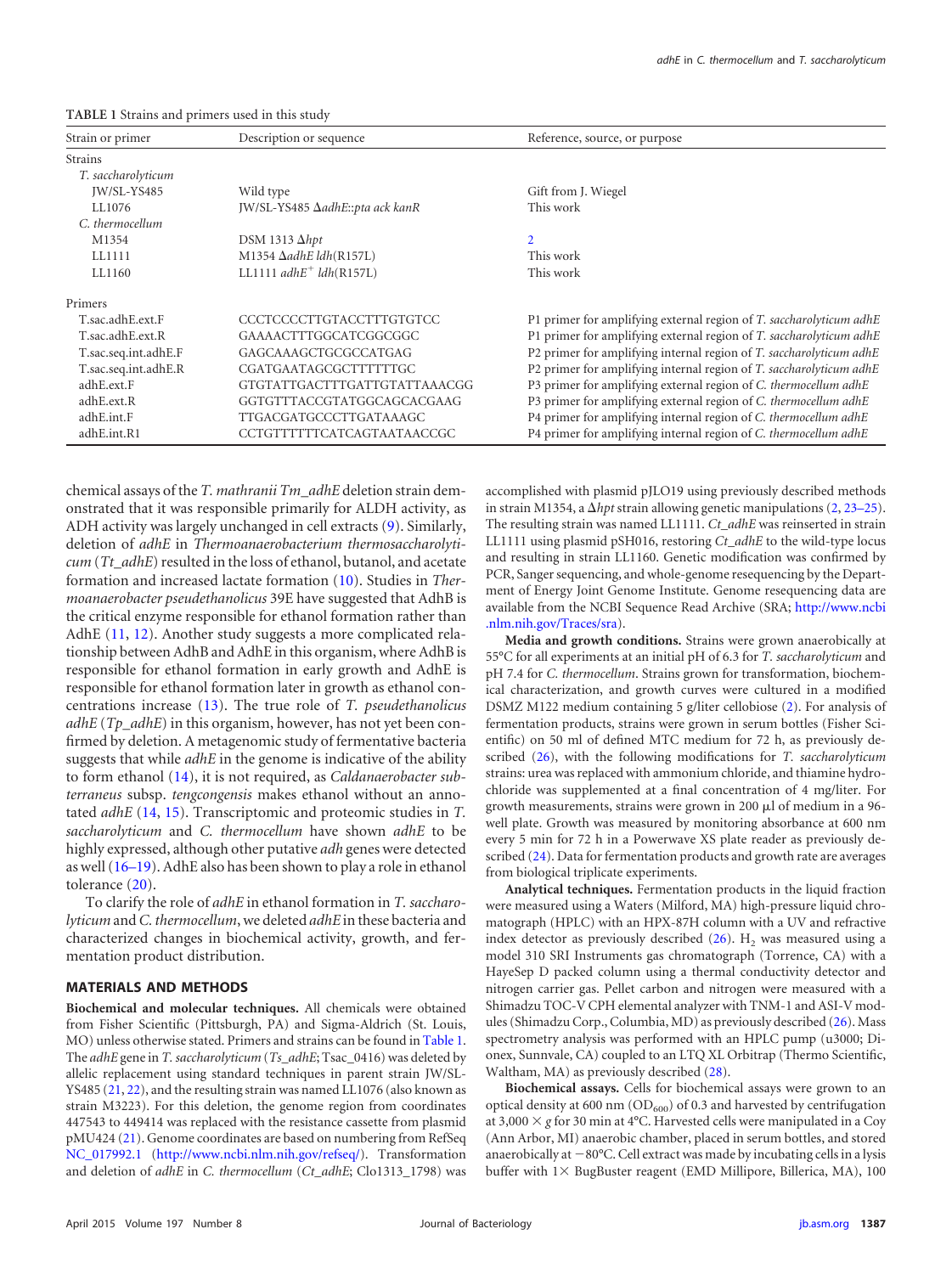<span id="page-2-0"></span>

| TABLE 1 Strains and primers used in this study |  |  |  |
|------------------------------------------------|--|--|--|
|------------------------------------------------|--|--|--|

| Strain or primer     | Description or sequence         | Reference, source, or purpose                                       |
|----------------------|---------------------------------|---------------------------------------------------------------------|
| <b>Strains</b>       |                                 |                                                                     |
| T. saccharolyticum   |                                 |                                                                     |
| JW/SL-YS485          | Wild type                       | Gift from J. Wiegel                                                 |
| LL1076               | JW/SL-YS485 AadhE::pta ack kanR | This work                                                           |
| C. thermocellum      |                                 |                                                                     |
| M1354                | DSM 1313 $\Delta hpt$           | $\overline{2}$                                                      |
| LL1111               | M1354 ΔadhE ldh(R157L)          | This work                                                           |
| LL1160               | LL1111 $adhE^+$ $ldh(R157L)$    | This work                                                           |
| Primers              |                                 |                                                                     |
| T.sac.adhE.ext.F     | CCCTCCCCTTGTACCTTTGTGTCC        | P1 primer for amplifying external region of T. saccharolyticum adhE |
| T.sac.adhE.ext.R     | GAAAACTTTGGCATCGGCGGC           | P1 primer for amplifying external region of T. saccharolyticum adhE |
| T.sac.seq.int.adhE.F | GAGCAAAGCTGCGCCATGAG            | P2 primer for amplifying internal region of T. saccharolyticum adhE |
| T.sac.seq.int.adhE.R | CGATGAATAGCGCTTTTTTGC           | P2 primer for amplifying internal region of T. saccharolyticum adhE |
| adhE.ext.F           | GTGTATTGACTTTGATTGTATTAAACGG    | P3 primer for amplifying external region of C. thermocellum adhE    |
| adhE.ext.R           | GGTGTTTACCGTATGGCAGCACGAAG      | P3 primer for amplifying external region of C. thermocellum adhE    |
| adhE.int.F           | TTGACGATGCCCTTGATAAAGC          | P4 primer for amplifying internal region of C. thermocellum adhE    |
| adhE.int.R1          | CCTGTTTTTTCATCAGTAATAACCGC      | P4 primer for amplifying internal region of C. thermocellum adhE    |

chemical assays of the *T. mathranii Tm\_adhE* deletion strain demonstrated that it was responsible primarily for ALDH activity, as ADH activity was largely unchanged in cell extracts [\(9\)](#page-7-8). Similarly, deletion of *adhE* in *Thermoanaerobacterium thermosaccharolyticum* (*Tt\_adhE*) resulted in the loss of ethanol, butanol, and acetate formation and increased lactate formation [\(10\)](#page-7-9). Studies in *Thermoanaerobacter pseudethanolicus* 39E have suggested that AdhB is the critical enzyme responsible for ethanol formation rather than AdhE [\(11,](#page-7-10) [12\)](#page-7-11). Another study suggests a more complicated relationship between AdhB and AdhE in this organism, where AdhB is responsible for ethanol formation in early growth and AdhE is responsible for ethanol formation later in growth as ethanol concentrations increase [\(13\)](#page-7-12). The true role of *T. pseudethanolicus adhE* (*Tp\_adhE*) in this organism, however, has not yet been confirmed by deletion. A metagenomic study of fermentative bacteria suggests that while *adhE* in the genome is indicative of the ability to form ethanol [\(14\)](#page-7-13), it is not required, as *Caldanaerobacter subterraneus* subsp. *tengcongensis* makes ethanol without an annotated *adhE* [\(14,](#page-7-13) [15\)](#page-7-14). Transcriptomic and proteomic studies in *T. saccharolyticum* and *C. thermocellum* have shown *adhE* to be highly expressed, although other putative *adh* genes were detected as well [\(16](#page-7-15)[–](#page-7-16)[19\)](#page-7-17). AdhE also has been shown to play a role in ethanol tolerance [\(20\)](#page-8-0).

To clarify the role of *adhE* in ethanol formation in *T. saccharolyticum*and*C. thermocellum*, we deleted *adhE* in these bacteria and characterized changes in biochemical activity, growth, and fermentation product distribution.

#### **MATERIALS AND METHODS**

**Biochemical and molecular techniques.** All chemicals were obtained from Fisher Scientific (Pittsburgh, PA) and Sigma-Aldrich (St. Louis, MO) unless otherwise stated. Primers and strains can be found in [Table 1.](#page-2-0) The *adhE* gene in *T. saccharolyticum* (*Ts\_adhE*; Tsac\_0416) was deleted by allelic replacement using standard techniques in parent strain JW/SL-YS485 [\(21,](#page-8-1) [22\)](#page-8-2), and the resulting strain was named LL1076 (also known as strain M3223). For this deletion, the genome region from coordinates 447543 to 449414 was replaced with the resistance cassette from plasmid pMU424 [\(21\)](#page-8-1). Genome coordinates are based on numbering from RefSeq [NC\\_017992.1](http://www.ncbi.nlm.nih.gov/nuccore?term=NC_017992.1) [\(http://www.ncbi.nlm.nih.gov/refseq/\)](http://www.ncbi.nlm.nih.gov/refseq/). Transformation and deletion of *adhE* in *C. thermocellum* (*Ct\_adhE*; Clo1313\_1798) was

accomplished with plasmid pJLO19 using previously described methods in strain M1354, a  $\Delta h$ pt strain allowing genetic manipulations  $(2, 23-25)$  $(2, 23-25)$  $(2, 23-25)$  $(2, 23-25)$  $(2, 23-25)$ . The resulting strain was named LL1111. *Ct\_adhE* was reinserted in strain LL1111 using plasmid pSH016, restoring *Ct\_adhE* to the wild-type locus and resulting in strain LL1160. Genetic modification was confirmed by PCR, Sanger sequencing, and whole-genome resequencing by the Department of Energy Joint Genome Institute. Genome resequencing data are available from the NCBI Sequence Read Archive (SRA; [http://www.ncbi](http://www.ncbi.nlm.nih.gov/Traces/sra) [.nlm.nih.gov/Traces/sra\)](http://www.ncbi.nlm.nih.gov/Traces/sra).

**Media and growth conditions.** Strains were grown anaerobically at 55°C for all experiments at an initial pH of 6.3 for *T. saccharolyticum* and pH 7.4 for *C. thermocellum*. Strains grown for transformation, biochemical characterization, and growth curves were cultured in a modified DSMZ M122 medium containing 5 g/liter cellobiose [\(2\)](#page-7-1). For analysis of fermentation products, strains were grown in serum bottles (Fisher Scientific) on 50 ml of defined MTC medium for 72 h, as previously described [\(26\)](#page-8-6), with the following modifications for *T. saccharolyticum* strains: urea was replaced with ammonium chloride, and thiamine hydrochloride was supplemented at a final concentration of 4 mg/liter. For growth measurements, strains were grown in 200  $\mu$ l of medium in a 96well plate. Growth was measured by monitoring absorbance at 600 nm every 5 min for 72 h in a Powerwave XS plate reader as previously de-scribed [\(24\)](#page-8-4). Data for fermentation products and growth rate are averages from biological triplicate experiments.

**Analytical techniques.** Fermentation products in the liquid fraction were measured using a Waters (Milford, MA) high-pressure liquid chromatograph (HPLC) with an HPX-87H column with a UV and refractive index detector as previously described  $(26)$ .  $H_2$  was measured using a model 310 SRI Instruments gas chromatograph (Torrence, CA) with a HayeSep D packed column using a thermal conductivity detector and nitrogen carrier gas. Pellet carbon and nitrogen were measured with a Shimadzu TOC-V CPH elemental analyzer with TNM-1 and ASI-V modules (Shimadzu Corp., Columbia, MD) as previously described [\(26\)](#page-8-6). Mass spectrometry analysis was performed with an HPLC pump (u3000; Dionex, Sunnvale, CA) coupled to an LTQ XL Orbitrap (Thermo Scientific, Waltham, MA) as previously described [\(28\)](#page-8-7).

**Biochemical assays.** Cells for biochemical assays were grown to an optical density at 600 nm ( $OD_{600}$ ) of 0.3 and harvested by centrifugation at  $3,000 \times g$  for 30 min at 4°C. Harvested cells were manipulated in a Coy (Ann Arbor, MI) anaerobic chamber, placed in serum bottles, and stored anaerobically at  $-80^{\circ}$ C. Cell extract was made by incubating cells in a lysis buffer with  $1 \times$  BugBuster reagent (EMD Millipore, Billerica, MA), 100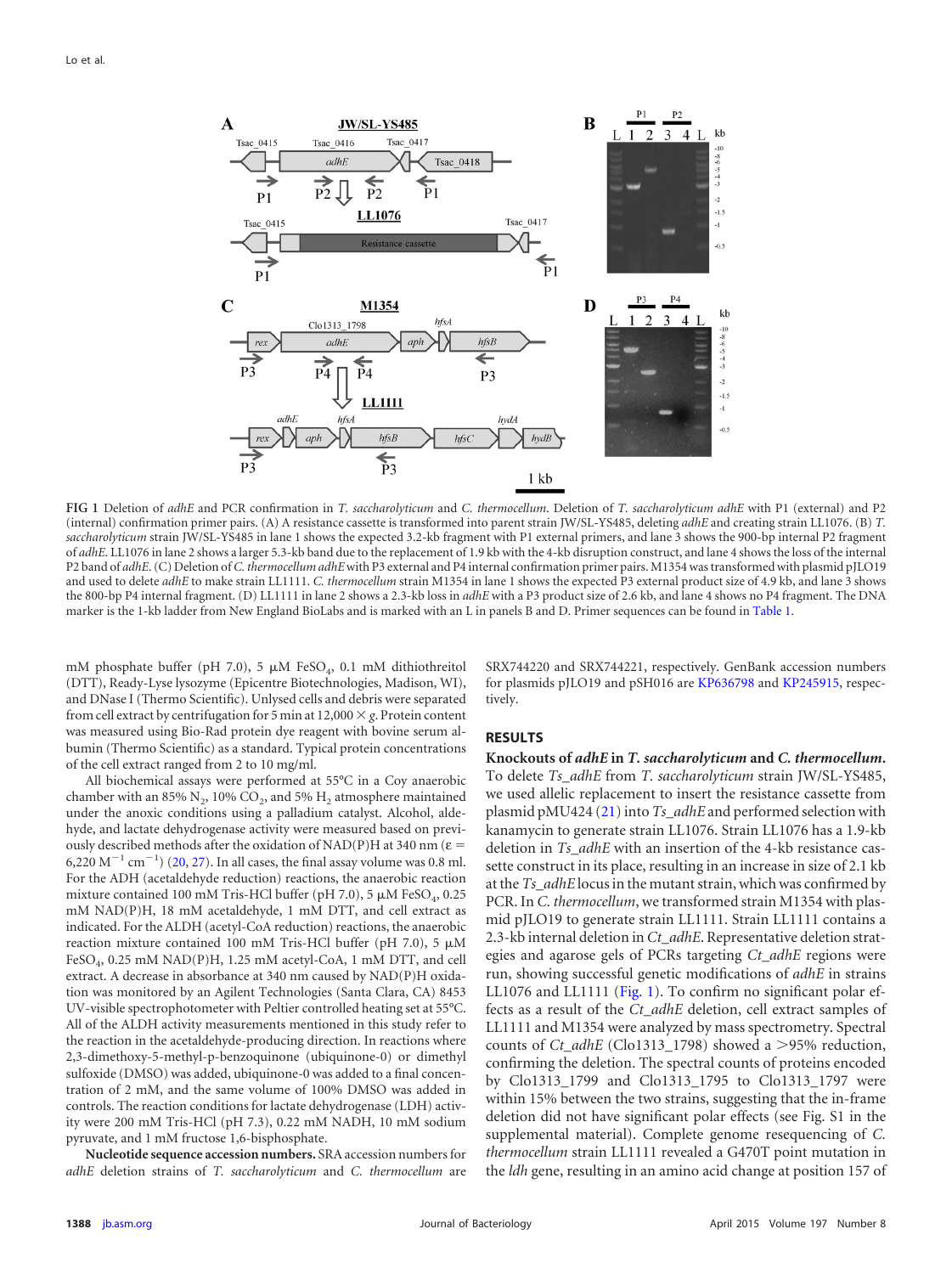

<span id="page-3-0"></span>**FIG 1** Deletion of *adhE* and PCR confirmation in *T. saccharolyticum* and *C. thermocellum*. Deletion of *T. saccharolyticum adhE* with P1 (external) and P2 (internal) confirmation primer pairs. (A) A resistance cassette is transformed into parent strain JW/SL-YS485, deleting *adhE* and creating strain LL1076. (B) *T. saccharolyticum* strain JW/SL-YS485 in lane 1 shows the expected 3.2-kb fragment with P1 external primers, and lane 3 shows the 900-bp internal P2 fragment of *adhE*. LL1076 in lane 2 shows a larger 5.3-kb band due to the replacement of 1.9 kb with the 4-kb disruption construct, and lane 4 shows the loss of the internal P2 band of *adhE*. (C) Deletion of*C. thermocellum adhE*with P3 external and P4 internal confirmation primer pairs. M1354 was transformed with plasmid pJLO19 and used to delete *adhE* to make strain LL1111. *C. thermocellum* strain M1354 in lane 1 shows the expected P3 external product size of 4.9 kb, and lane 3 shows the 800-bp P4 internal fragment. (D) LL1111 in lane 2 shows a 2.3-kb loss in *adhE* with a P3 product size of 2.6 kb, and lane 4 shows no P4 fragment. The DNA marker is the 1-kb ladder from New England BioLabs and is marked with an L in panels B and D. Primer sequences can be found in [Table 1.](#page-2-0)

mM phosphate buffer (pH 7.0), 5  $\mu$ M FeSO<sub>4</sub>, 0.1 mM dithiothreitol (DTT), Ready-Lyse lysozyme (Epicentre Biotechnologies, Madison, WI), and DNase I (Thermo Scientific). Unlysed cells and debris were separated from cell extract by centrifugation for 5 min at  $12,000 \times g$ . Protein content was measured using Bio-Rad protein dye reagent with bovine serum albumin (Thermo Scientific) as a standard. Typical protein concentrations of the cell extract ranged from 2 to 10 mg/ml.

All biochemical assays were performed at 55°C in a Coy anaerobic chamber with an 85%  $N_2$ , 10%  $CO_2$ , and 5%  $H_2$  atmosphere maintained under the anoxic conditions using a palladium catalyst. Alcohol, aldehyde, and lactate dehydrogenase activity were measured based on previously described methods after the oxidation of NAD(P)H at 340 nm ( $\varepsilon$  = 6,220 M<sup>-1</sup> cm<sup>-1</sup>) [\(20,](#page-8-0) [27\)](#page-8-8). In all cases, the final assay volume was 0.8 ml. For the ADH (acetaldehyde reduction) reactions, the anaerobic reaction mixture contained 100 mM Tris-HCl buffer (pH 7.0), 5  $\mu$ M FeSO<sub>4</sub>, 0.25 mM NAD(P)H, 18 mM acetaldehyde, 1 mM DTT, and cell extract as indicated. For the ALDH (acetyl-CoA reduction) reactions, the anaerobic reaction mixture contained 100 mM Tris-HCl buffer (pH 7.0), 5  $\mu$ M FeSO<sub>4</sub>, 0.25 mM NAD(P)H, 1.25 mM acetyl-CoA, 1 mM DTT, and cell extract. A decrease in absorbance at 340 nm caused by NAD(P)H oxidation was monitored by an Agilent Technologies (Santa Clara, CA) 8453 UV-visible spectrophotometer with Peltier controlled heating set at 55°C. All of the ALDH activity measurements mentioned in this study refer to the reaction in the acetaldehyde-producing direction. In reactions where 2,3-dimethoxy-5-methyl-p-benzoquinone (ubiquinone-0) or dimethyl sulfoxide (DMSO) was added, ubiquinone-0 was added to a final concentration of 2 mM, and the same volume of 100% DMSO was added in controls. The reaction conditions for lactate dehydrogenase (LDH) activity were 200 mM Tris-HCl (pH 7.3), 0.22 mM NADH, 10 mM sodium pyruvate, and 1 mM fructose 1,6-bisphosphate.

**Nucleotide sequence accession numbers.** SRA accession numbers for *adhE* deletion strains of *T. saccharolyticum* and *C. thermocellum* are

SRX744220 and SRX744221, respectively. GenBank accession numbers for plasmids pJLO19 and pSH016 are [KP636798](http://www.ncbi.nlm.nih.gov/nuccore?term=KP636798) and [KP245915,](http://www.ncbi.nlm.nih.gov/nuccore?term=KP245915) respectively.

#### **RESULTS**

**Knockouts of** *adhE* **in** *T. saccharolyticum* **and** *C. thermocellum***.** To delete *Ts\_adhE* from *T. saccharolyticum* strain JW/SL-YS485, we used allelic replacement to insert the resistance cassette from plasmid pMU424 [\(21\)](#page-8-1) into *Ts\_adhE* and performed selection with kanamycin to generate strain LL1076. Strain LL1076 has a 1.9-kb deletion in *Ts\_adhE* with an insertion of the 4-kb resistance cassette construct in its place, resulting in an increase in size of 2.1 kb at the *Ts\_adhE* locus in the mutant strain, which was confirmed by PCR. In *C. thermocellum*, we transformed strain M1354 with plasmid pJLO19 to generate strain LL1111. Strain LL1111 contains a 2.3-kb internal deletion in *Ct\_adhE*. Representative deletion strategies and agarose gels of PCRs targeting *Ct\_adhE* regions were run, showing successful genetic modifications of *adhE* in strains LL1076 and LL1111 [\(Fig. 1\)](#page-3-0). To confirm no significant polar effects as a result of the *Ct\_adhE* deletion, cell extract samples of LL1111 and M1354 were analyzed by mass spectrometry. Spectral counts of *Ct\_adhE* (Clo1313\_1798) showed a >95% reduction, confirming the deletion. The spectral counts of proteins encoded by Clo1313\_1799 and Clo1313\_1795 to Clo1313\_1797 were within 15% between the two strains, suggesting that the in-frame deletion did not have significant polar effects (see Fig. S1 in the supplemental material). Complete genome resequencing of *C. thermocellum* strain LL1111 revealed a G470T point mutation in the *ldh* gene, resulting in an amino acid change at position 157 of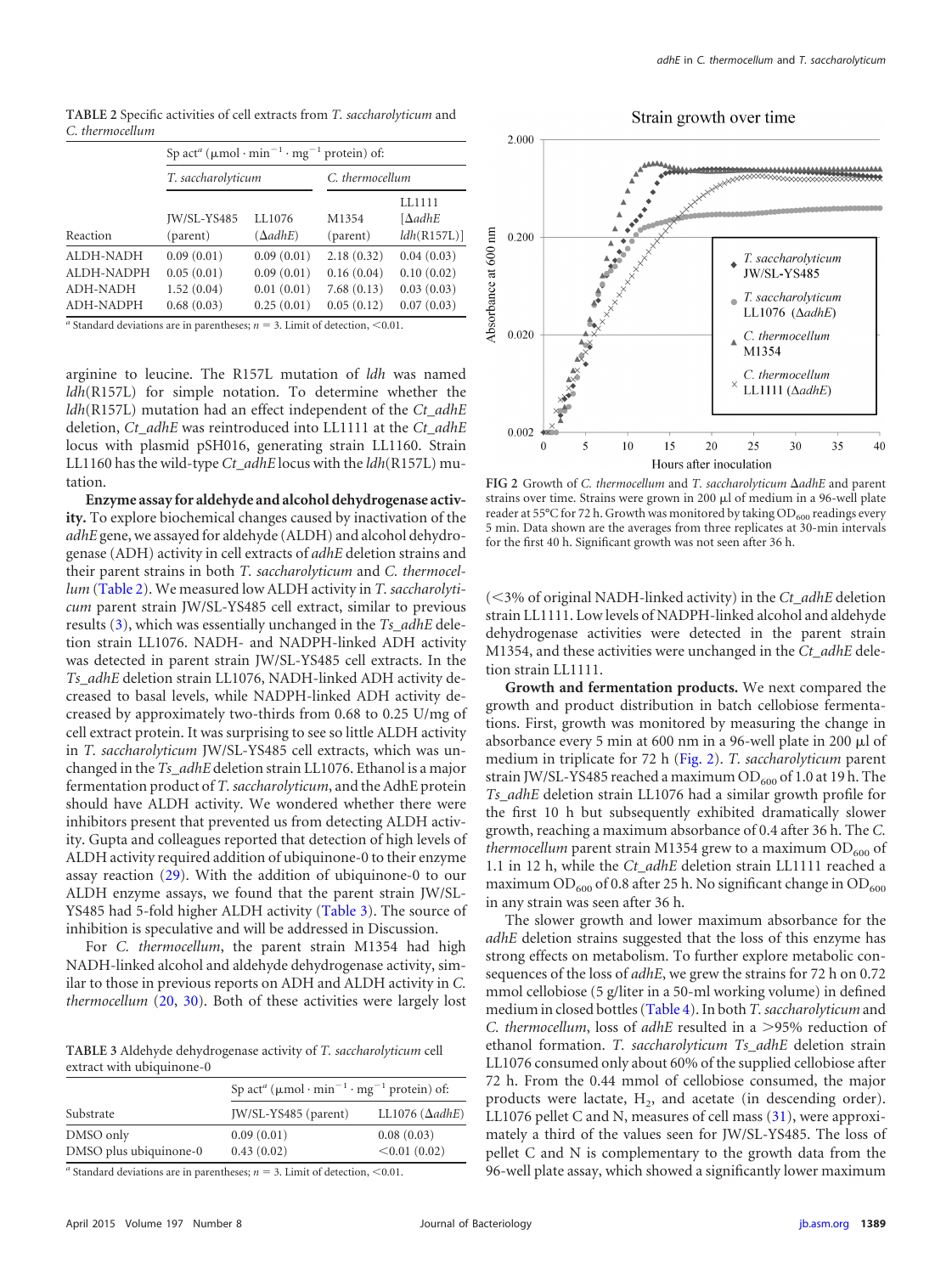<span id="page-4-0"></span>**TABLE 2** Specific activities of cell extracts from *T. saccharolyticum* and *C. thermocellum*

| Sp act <sup>a</sup> ( $\mu$ mol·min <sup>-1</sup> ·mg <sup>-1</sup> protein) of: |                                        |                                        |                                        |                                        |
|----------------------------------------------------------------------------------|----------------------------------------|----------------------------------------|----------------------------------------|----------------------------------------|
|                                                                                  | T. saccharolyticum                     |                                        | C. thermocellum                        |                                        |
| Reaction                                                                         | JW/SL-YS485<br>(parent)                | LL1076<br>$(\Delta adhE)$              | M1354<br>(parent)                      | LL1111<br>$[\Delta$ adhE<br>ldh(R157L) |
| ALDH-NADH<br>ALDH-NADPH                                                          | 0.09(0.01)                             | 0.09(0.01)                             | 2.18(0.32)                             | 0.04(0.03)                             |
| ADH-NADH<br>ADH-NADPH                                                            | 0.05(0.01)<br>1.52(0.04)<br>0.68(0.03) | 0.09(0.01)<br>0.01(0.01)<br>0.25(0.01) | 0.16(0.04)<br>7.68(0.13)<br>0.05(0.12) | 0.10(0.02)<br>0.03(0.03)<br>0.07(0.03) |

*a* Standard deviations are in parentheses;  $n = 3$ . Limit of detection, <0.01.

arginine to leucine. The R157L mutation of *ldh* was named *ldh*(R157L) for simple notation. To determine whether the *ldh*(R157L) mutation had an effect independent of the *Ct\_adhE* deletion, *Ct\_adhE* was reintroduced into LL1111 at the *Ct\_adhE* locus with plasmid pSH016, generating strain LL1160. Strain LL1160 has the wild-type *Ct\_adhE* locus with the *ldh*(R157L) mutation.

**Enzyme assay for aldehyde and alcohol dehydrogenase activity.** To explore biochemical changes caused by inactivation of the *adhE* gene, we assayed for aldehyde (ALDH) and alcohol dehydrogenase (ADH) activity in cell extracts of *adhE* deletion strains and their parent strains in both *T. saccharolyticum* and *C. thermocellum* [\(Table 2\)](#page-4-0). We measured low ALDH activity in *T. saccharolyticum* parent strain JW/SL-YS485 cell extract, similar to previous results [\(3\)](#page-7-2), which was essentially unchanged in the *Ts\_adhE* deletion strain LL1076. NADH- and NADPH-linked ADH activity was detected in parent strain JW/SL-YS485 cell extracts. In the *Ts\_adhE* deletion strain LL1076, NADH-linked ADH activity decreased to basal levels, while NADPH-linked ADH activity decreased by approximately two-thirds from 0.68 to 0.25 U/mg of cell extract protein. It was surprising to see so little ALDH activity in *T. saccharolyticum* JW/SL-YS485 cell extracts, which was unchanged in the *Ts\_adhE* deletion strain LL1076. Ethanol is a major fermentation product of *T. saccharolyticum*, and the AdhE protein should have ALDH activity. We wondered whether there were inhibitors present that prevented us from detecting ALDH activity. Gupta and colleagues reported that detection of high levels of ALDH activity required addition of ubiquinone-0 to their enzyme assay reaction [\(29\)](#page-8-9). With the addition of ubiquinone-0 to our ALDH enzyme assays, we found that the parent strain JW/SL-YS485 had 5-fold higher ALDH activity [\(Table 3\)](#page-4-1). The source of inhibition is speculative and will be addressed in Discussion.

For *C. thermocellum*, the parent strain M1354 had high NADH-linked alcohol and aldehyde dehydrogenase activity, similar to those in previous reports on ADH and ALDH activity in *C. thermocellum* [\(20,](#page-8-0) [30\)](#page-8-10). Both of these activities were largely lost

<span id="page-4-1"></span>**TABLE 3** Aldehyde dehydrogenase activity of *T. saccharolyticum* cell extract with ubiquinone-0

|                        | Sp act <sup>a</sup> ( $\mu$ mol·min <sup>-1</sup> ·mg <sup>-1</sup> protein) of: |                        |  |
|------------------------|----------------------------------------------------------------------------------|------------------------|--|
| Substrate              | JW/SL-YS485 (parent)                                                             | LL1076 $(\Delta adhE)$ |  |
| DMSO only              | 0.09(0.01)                                                                       | 0.08(0.03)             |  |
| DMSO plus ubiquinone-0 | 0.43(0.02)                                                                       | < 0.01(0.02)           |  |

*a* Standard deviations are in parentheses;  $n = 3$ . Limit of detection,  $\leq 0.01$ .





<span id="page-4-2"></span>FIG 2 Growth of *C. thermocellum* and *T. saccharolyticum*  $\Delta$ adhE and parent strains over time. Strains were grown in 200 µl of medium in a 96-well plate reader at 55°C for 72 h. Growth was monitored by taking  $OD<sub>600</sub>$  readings every 5 min. Data shown are the averages from three replicates at 30-min intervals for the first 40 h. Significant growth was not seen after 36 h.

 $(<$ 3% of original NADH-linked activity) in the *Ct\_adhE* deletion strain LL1111. Low levels of NADPH-linked alcohol and aldehyde dehydrogenase activities were detected in the parent strain M1354, and these activities were unchanged in the *Ct\_adhE* deletion strain LL1111.

**Growth and fermentation products.** We next compared the growth and product distribution in batch cellobiose fermentations. First, growth was monitored by measuring the change in absorbance every 5 min at 600 nm in a 96-well plate in 200  $\mu$ l of medium in triplicate for 72 h [\(Fig. 2\)](#page-4-2). *T. saccharolyticum* parent strain JW/SL-YS485 reached a maximum  $OD<sub>600</sub>$  of 1.0 at 19 h. The *Ts\_adhE* deletion strain LL1076 had a similar growth profile for the first 10 h but subsequently exhibited dramatically slower growth, reaching a maximum absorbance of 0.4 after 36 h. The *C. thermocellum* parent strain M1354 grew to a maximum OD<sub>600</sub> of 1.1 in 12 h, while the *Ct\_adhE* deletion strain LL1111 reached a maximum OD $_{600}$  of 0.8 after 25 h. No significant change in OD $_{600}$ in any strain was seen after 36 h.

The slower growth and lower maximum absorbance for the *adhE* deletion strains suggested that the loss of this enzyme has strong effects on metabolism. To further explore metabolic consequences of the loss of *adhE*, we grew the strains for 72 h on 0.72 mmol cellobiose (5 g/liter in a 50-ml working volume) in defined medium in closed bottles [\(Table 4\)](#page-5-0). In both *T. saccharolyticum*and *C. thermocellum*, loss of *adhE* resulted in a >95% reduction of ethanol formation. *T. saccharolyticum Ts\_adhE* deletion strain LL1076 consumed only about 60% of the supplied cellobiose after 72 h. From the 0.44 mmol of cellobiose consumed, the major products were lactate,  $H<sub>2</sub>$ , and acetate (in descending order). LL1076 pellet C and N, measures of cell mass [\(31\)](#page-8-11), were approximately a third of the values seen for JW/SL-YS485. The loss of pellet C and N is complementary to the growth data from the 96-well plate assay, which showed a significantly lower maximum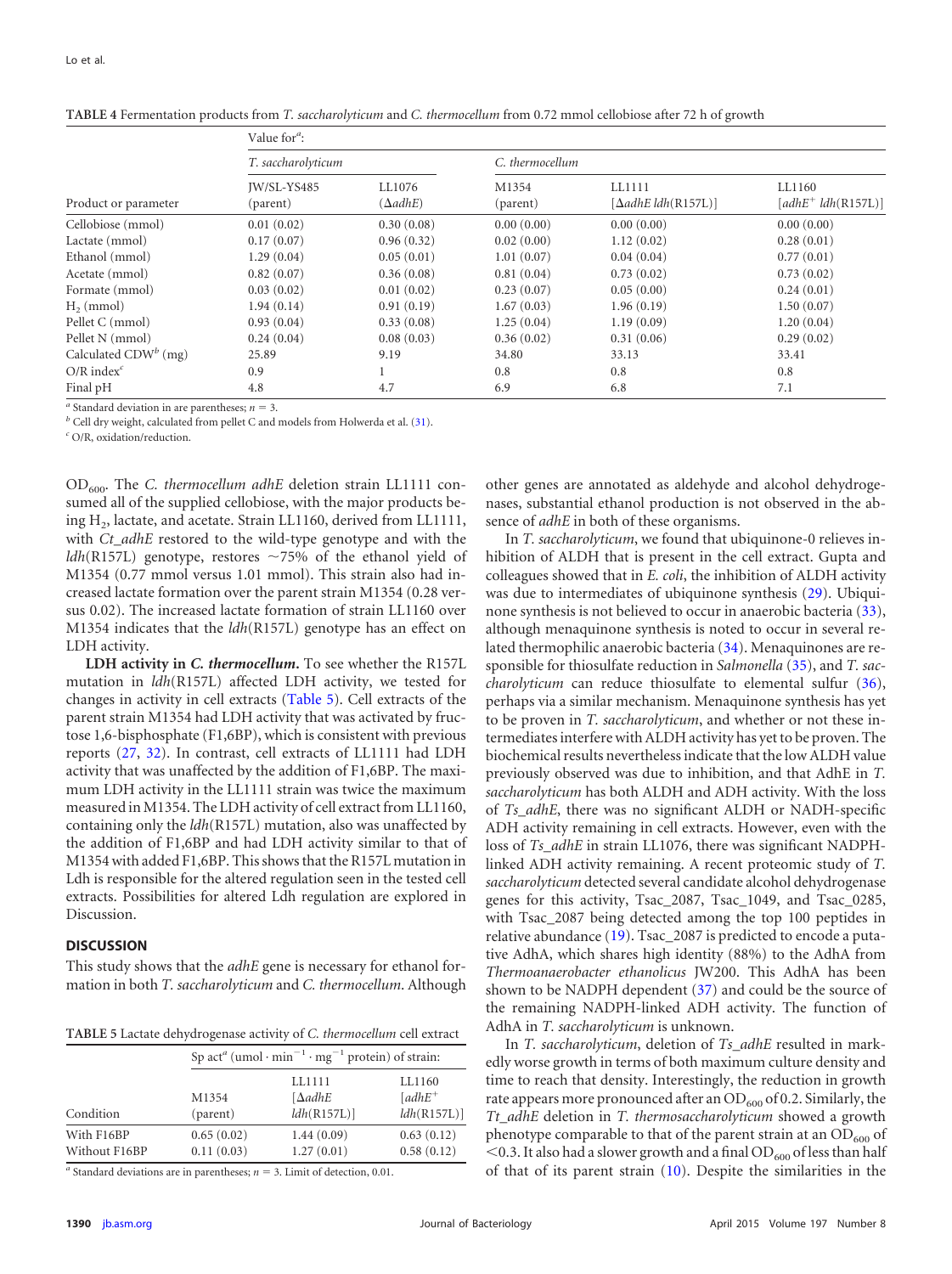|                          | Value for $\alpha$ :    |                           |                   |                                      |                                 |  |
|--------------------------|-------------------------|---------------------------|-------------------|--------------------------------------|---------------------------------|--|
| Product or parameter     | T. saccharolyticum      |                           | C. thermocellum   |                                      |                                 |  |
|                          | IW/SL-YS485<br>(parent) | LL1076<br>$(\Delta adhE)$ | M1354<br>(parent) | LL1111<br>$[\Delta adhE Idh(R157L)]$ | LL1160<br>$[adhE^+ Idh(R157L)]$ |  |
| Cellobiose (mmol)        | 0.01(0.02)              | 0.30(0.08)                | 0.00(0.00)        | 0.00(0.00)                           | 0.00(0.00)                      |  |
| Lactate (mmol)           | 0.17(0.07)              | 0.96(0.32)                | 0.02(0.00)        | 1.12(0.02)                           | 0.28(0.01)                      |  |
| Ethanol (mmol)           | 1.29(0.04)              | 0.05(0.01)                | 1.01(0.07)        | 0.04(0.04)                           | 0.77(0.01)                      |  |
| Acetate (mmol)           | 0.82(0.07)              | 0.36(0.08)                | 0.81(0.04)        | 0.73(0.02)                           | 0.73(0.02)                      |  |
| Formate (mmol)           | 0.03(0.02)              | 0.01(0.02)                | 0.23(0.07)        | 0.05(0.00)                           | 0.24(0.01)                      |  |
| $H2$ (mmol)              | 1.94(0.14)              | 0.91(0.19)                | 1.67(0.03)        | 1.96(0.19)                           | 1.50(0.07)                      |  |
| Pellet C (mmol)          | 0.93(0.04)              | 0.33(0.08)                | 1.25(0.04)        | 1.19(0.09)                           | 1.20(0.04)                      |  |
| Pellet N (mmol)          | 0.24(0.04)              | 0.08(0.03)                | 0.36(0.02)        | 0.31(0.06)                           | 0.29(0.02)                      |  |
| Calculated $CDW^b$ (mg)  | 25.89                   | 9.19                      | 34.80             | 33.13                                | 33.41                           |  |
| $O/R$ index <sup>c</sup> | 0.9                     |                           | 0.8               | 0.8                                  | 0.8                             |  |
| Final pH                 | 4.8                     | 4.7                       | 6.9               | 6.8                                  | 7.1                             |  |

<span id="page-5-0"></span>

|  |  |  | TABLE 4 Fermentation products from T. saccharolyticum and C. thermocellum from 0.72 mmol cellobiose after 72 h of growth |  |
|--|--|--|--------------------------------------------------------------------------------------------------------------------------|--|
|--|--|--|--------------------------------------------------------------------------------------------------------------------------|--|

 $a^a$  Standard deviation in are parentheses;  $n = 3$ .

*<sup>b</sup>* Cell dry weight, calculated from pellet C and models from Holwerda et al. [\(31\)](#page-8-11).

*<sup>c</sup>* O/R, oxidation/reduction.

OD600. The *C. thermocellum adhE* deletion strain LL1111 consumed all of the supplied cellobiose, with the major products being H<sub>2</sub>, lactate, and acetate. Strain LL1160, derived from LL1111, with *Ct\_adhE* restored to the wild-type genotype and with the *ldh*(R157L) genotype, restores 75% of the ethanol yield of M1354 (0.77 mmol versus 1.01 mmol). This strain also had increased lactate formation over the parent strain M1354 (0.28 versus 0.02). The increased lactate formation of strain LL1160 over M1354 indicates that the *ldh*(R157L) genotype has an effect on LDH activity.

**LDH activity in** *C. thermocellum***.** To see whether the R157L mutation in *ldh*(R157L) affected LDH activity, we tested for changes in activity in cell extracts [\(Table 5\)](#page-5-1). Cell extracts of the parent strain M1354 had LDH activity that was activated by fructose 1,6-bisphosphate (F1,6BP), which is consistent with previous reports [\(27,](#page-8-8) [32\)](#page-8-12). In contrast, cell extracts of LL1111 had LDH activity that was unaffected by the addition of F1,6BP. The maximum LDH activity in the LL1111 strain was twice the maximum measured in M1354. The LDH activity of cell extract from LL1160, containing only the *ldh*(R157L) mutation, also was unaffected by the addition of F1,6BP and had LDH activity similar to that of M1354 with added F1,6BP. This shows that the R157L mutation in Ldh is responsible for the altered regulation seen in the tested cell extracts. Possibilities for altered Ldh regulation are explored in Discussion.

#### **DISCUSSION**

This study shows that the *adhE* gene is necessary for ethanol formation in both *T. saccharolyticum* and *C. thermocellum*. Although

<span id="page-5-1"></span>**TABLE 5** Lactate dehydrogenase activity of *C. thermocellum* cell extract

| Condition                   |                          | Sp act <sup>a</sup> (umol · min <sup>-1</sup> · mg <sup>-1</sup> protein) of strain: |                                    |  |
|-----------------------------|--------------------------|--------------------------------------------------------------------------------------|------------------------------------|--|
|                             | M1354<br>(parent)        | LL1111<br>$[\Delta$ adhE<br>ldh(R157L)                                               | LL1160<br>$[adhE^+]$<br>ldh(R157L) |  |
| With F16BP<br>Without F16BP | 0.65(0.02)<br>0.11(0.03) | 1.44(0.09)<br>1.27(0.01)                                                             | 0.63(0.12)<br>0.58(0.12)           |  |

<sup>*a*</sup> Standard deviations are in parentheses;  $n = 3$ . Limit of detection, 0.01.

other genes are annotated as aldehyde and alcohol dehydrogenases, substantial ethanol production is not observed in the absence of *adhE* in both of these organisms.

In *T. saccharolyticum*, we found that ubiquinone-0 relieves inhibition of ALDH that is present in the cell extract. Gupta and colleagues showed that in *E. coli*, the inhibition of ALDH activity was due to intermediates of ubiquinone synthesis [\(29\)](#page-8-9). Ubiquinone synthesis is not believed to occur in anaerobic bacteria [\(33\)](#page-8-13), although menaquinone synthesis is noted to occur in several related thermophilic anaerobic bacteria [\(34\)](#page-8-14). Menaquinones are responsible for thiosulfate reduction in *Salmonella* [\(35\)](#page-8-15), and *T. saccharolyticum* can reduce thiosulfate to elemental sulfur [\(36\)](#page-8-16), perhaps via a similar mechanism. Menaquinone synthesis has yet to be proven in *T. saccharolyticum*, and whether or not these intermediates interfere with ALDH activity has yet to be proven. The biochemical results nevertheless indicate that the low ALDH value previously observed was due to inhibition, and that AdhE in *T. saccharolyticum* has both ALDH and ADH activity. With the loss of *Ts\_adhE*, there was no significant ALDH or NADH-specific ADH activity remaining in cell extracts. However, even with the loss of *Ts\_adhE* in strain LL1076, there was significant NADPHlinked ADH activity remaining. A recent proteomic study of *T. saccharolyticum* detected several candidate alcohol dehydrogenase genes for this activity, Tsac\_2087, Tsac\_1049, and Tsac\_0285, with Tsac\_2087 being detected among the top 100 peptides in relative abundance [\(19\)](#page-7-17). Tsac\_2087 is predicted to encode a putative AdhA, which shares high identity (88%) to the AdhA from *Thermoanaerobacter ethanolicus* JW200. This AdhA has been shown to be NADPH dependent [\(37\)](#page-8-17) and could be the source of the remaining NADPH-linked ADH activity. The function of AdhA in *T. saccharolyticum* is unknown.

In *T. saccharolyticum*, deletion of *Ts\_adhE* resulted in markedly worse growth in terms of both maximum culture density and time to reach that density. Interestingly, the reduction in growth rate appears more pronounced after an  $OD<sub>600</sub>$  of 0.2. Similarly, the *Tt\_adhE* deletion in *T. thermosaccharolyticum* showed a growth phenotype comparable to that of the parent strain at an  $OD_{600}$  of  $<$  0.3. It also had a slower growth and a final OD<sub>600</sub> of less than half of that of its parent strain [\(10\)](#page-7-9). Despite the similarities in the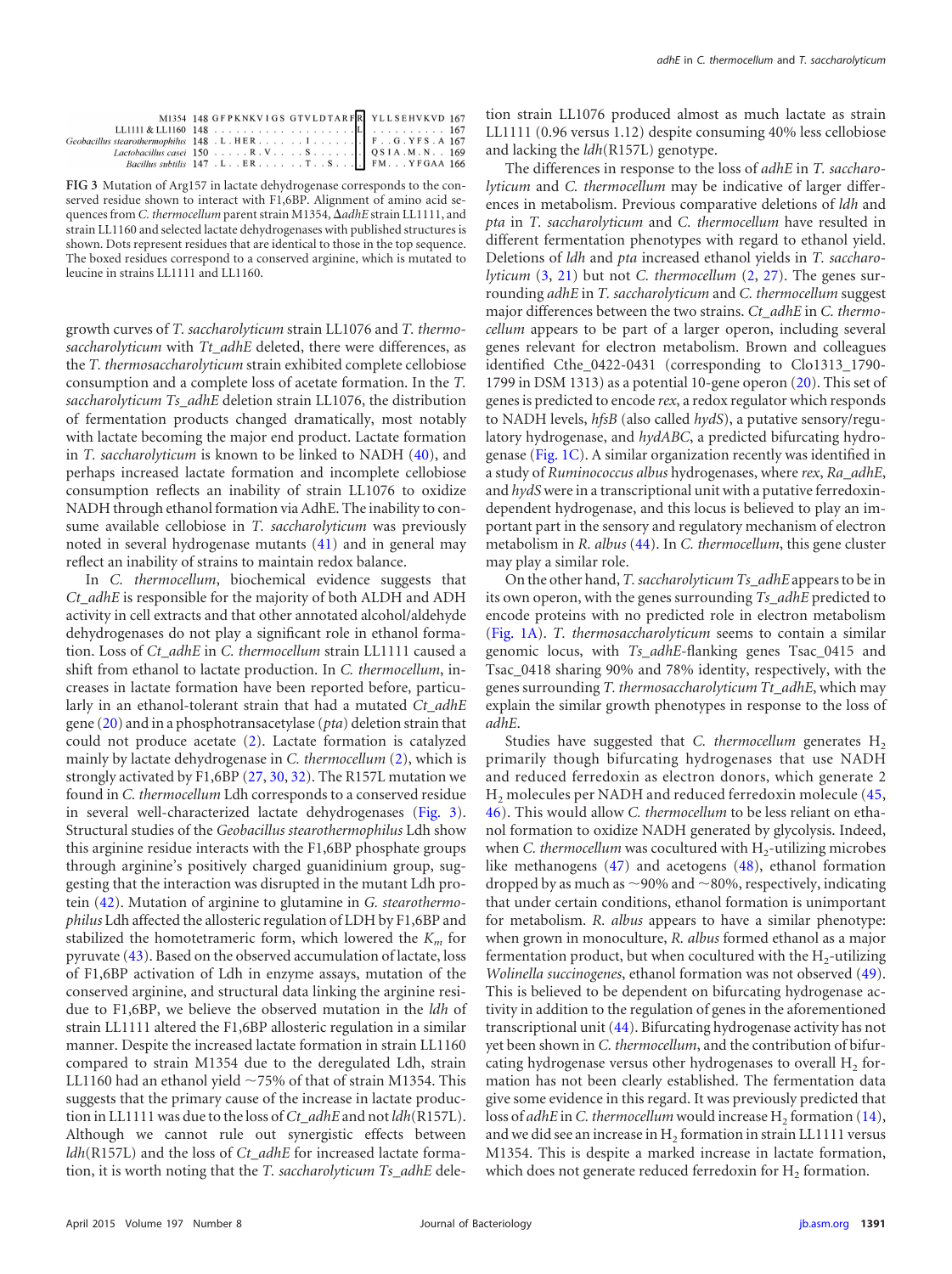| M1354 148 GFPKNKVIGS GTVLDTARFR YLLSEHVKVD 167 |  |
|------------------------------------------------|--|
|                                                |  |
|                                                |  |
|                                                |  |
|                                                |  |

<span id="page-6-0"></span>**FIG 3** Mutation of Arg157 in lactate dehydrogenase corresponds to the conserved residue shown to interact with F1,6BP. Alignment of amino acid sequences from *C. thermocellum* parent strain M1354,  $\Delta$ adhE strain LL1111, and strain LL1160 and selected lactate dehydrogenases with published structures is shown. Dots represent residues that are identical to those in the top sequence. The boxed residues correspond to a conserved arginine, which is mutated to leucine in strains LL1111 and LL1160.

growth curves of *T. saccharolyticum* strain LL1076 and *T. thermosaccharolyticum* with *Tt\_adhE* deleted, there were differences, as the *T. thermosaccharolyticum* strain exhibited complete cellobiose consumption and a complete loss of acetate formation. In the *T. saccharolyticum Ts\_adhE* deletion strain LL1076, the distribution of fermentation products changed dramatically, most notably with lactate becoming the major end product. Lactate formation in *T. saccharolyticum* is known to be linked to NADH [\(40\)](#page-8-18), and perhaps increased lactate formation and incomplete cellobiose consumption reflects an inability of strain LL1076 to oxidize NADH through ethanol formation via AdhE. The inability to consume available cellobiose in *T. saccharolyticum* was previously noted in several hydrogenase mutants [\(41\)](#page-8-19) and in general may reflect an inability of strains to maintain redox balance.

In *C. thermocellum*, biochemical evidence suggests that *Ct\_adhE* is responsible for the majority of both ALDH and ADH activity in cell extracts and that other annotated alcohol/aldehyde dehydrogenases do not play a significant role in ethanol formation. Loss of *Ct\_adhE* in *C. thermocellum* strain LL1111 caused a shift from ethanol to lactate production. In *C. thermocellum*, increases in lactate formation have been reported before, particularly in an ethanol-tolerant strain that had a mutated *Ct\_adhE* gene [\(20\)](#page-8-0) and in a phosphotransacetylase (*pta*) deletion strain that could not produce acetate [\(2\)](#page-7-1). Lactate formation is catalyzed mainly by lactate dehydrogenase in *C. thermocellum* [\(2\)](#page-7-1), which is strongly activated by F1,6BP [\(27,](#page-8-8) [30,](#page-8-10) [32\)](#page-8-12). The R157L mutation we found in *C. thermocellum* Ldh corresponds to a conserved residue in several well-characterized lactate dehydrogenases [\(Fig. 3\)](#page-6-0). Structural studies of the *Geobacillus stearothermophilus* Ldh show this arginine residue interacts with the F1,6BP phosphate groups through arginine's positively charged guanidinium group, suggesting that the interaction was disrupted in the mutant Ldh protein [\(42\)](#page-8-20). Mutation of arginine to glutamine in *G. stearothermophilus* Ldh affected the allosteric regulation of LDH by F1,6BP and stabilized the homotetrameric form, which lowered the  $K<sub>m</sub>$  for pyruvate [\(43\)](#page-8-21). Based on the observed accumulation of lactate, loss of F1,6BP activation of Ldh in enzyme assays, mutation of the conserved arginine, and structural data linking the arginine residue to F1,6BP, we believe the observed mutation in the *ldh* of strain LL1111 altered the F1,6BP allosteric regulation in a similar manner. Despite the increased lactate formation in strain LL1160 compared to strain M1354 due to the deregulated Ldh, strain LL1160 had an ethanol yield  $\sim$ 75% of that of strain M1354. This suggests that the primary cause of the increase in lactate production in LL1111 was due to the loss of *Ct\_adhE* and not *ldh*(R157L). Although we cannot rule out synergistic effects between *ldh*(R157L) and the loss of *Ct\_adhE* for increased lactate formation, it is worth noting that the *T. saccharolyticum Ts\_adhE* deletion strain LL1076 produced almost as much lactate as strain LL1111 (0.96 versus 1.12) despite consuming 40% less cellobiose and lacking the *ldh*(R157L) genotype.

The differences in response to the loss of *adhE* in *T. saccharolyticum* and *C. thermocellum* may be indicative of larger differences in metabolism. Previous comparative deletions of *ldh* and *pta* in *T. saccharolyticum* and *C. thermocellum* have resulted in different fermentation phenotypes with regard to ethanol yield. Deletions of *ldh* and *pta* increased ethanol yields in *T. saccharolyticum* [\(3,](#page-7-2) [21\)](#page-8-1) but not *C. thermocellum* [\(2,](#page-7-1) [27\)](#page-8-8). The genes surrounding *adhE* in *T. saccharolyticum* and *C. thermocellum* suggest major differences between the two strains. *Ct\_adhE* in *C. thermocellum* appears to be part of a larger operon, including several genes relevant for electron metabolism. Brown and colleagues identified Cthe\_0422-0431 (corresponding to Clo1313\_1790- 1799 in DSM 1313) as a potential 10-gene operon [\(20\)](#page-8-0). This set of genes is predicted to encode *rex*, a redox regulator which responds to NADH levels, *hfsB* (also called *hydS*), a putative sensory/regulatory hydrogenase, and *hydABC*, a predicted bifurcating hydrogenase [\(Fig. 1C\)](#page-3-0). A similar organization recently was identified in a study of *Ruminococcus albus* hydrogenases, where *rex*, *Ra\_adhE*, and *hydS* were in a transcriptional unit with a putative ferredoxindependent hydrogenase, and this locus is believed to play an important part in the sensory and regulatory mechanism of electron metabolism in *R. albus* [\(44\)](#page-8-22). In *C. thermocellum*, this gene cluster may play a similar role.

On the other hand, *T. saccharolyticum Ts\_adhE* appears to be in its own operon, with the genes surrounding *Ts\_adhE* predicted to encode proteins with no predicted role in electron metabolism [\(Fig. 1A\)](#page-3-0). *T. thermosaccharolyticum* seems to contain a similar genomic locus, with *Ts\_adhE*-flanking genes Tsac\_0415 and Tsac\_0418 sharing 90% and 78% identity, respectively, with the genes surrounding *T. thermosaccharolyticum Tt\_adhE*, which may explain the similar growth phenotypes in response to the loss of *adhE*.

Studies have suggested that *C. thermocellum* generates H<sub>2</sub> primarily though bifurcating hydrogenases that use NADH and reduced ferredoxin as electron donors, which generate 2 H<sub>2</sub> molecules per NADH and reduced ferredoxin molecule [\(45,](#page-8-23) [46\)](#page-8-24). This would allow *C. thermocellum* to be less reliant on ethanol formation to oxidize NADH generated by glycolysis. Indeed, when *C. thermocellum* was cocultured with H<sub>2</sub>-utilizing microbes like methanogens [\(47\)](#page-8-25) and acetogens [\(48\)](#page-8-26), ethanol formation dropped by as much as  ${\sim}$ 90% and  ${\sim}$ 80%, respectively, indicating that under certain conditions, ethanol formation is unimportant for metabolism. *R. albus* appears to have a similar phenotype: when grown in monoculture, *R. albus* formed ethanol as a major fermentation product, but when cocultured with the  $H_2$ -utilizing *Wolinella succinogenes*, ethanol formation was not observed [\(49\)](#page-8-27). This is believed to be dependent on bifurcating hydrogenase activity in addition to the regulation of genes in the aforementioned transcriptional unit [\(44\)](#page-8-22). Bifurcating hydrogenase activity has not yet been shown in *C. thermocellum*, and the contribution of bifurcating hydrogenase versus other hydrogenases to overall  $H_2$  formation has not been clearly established. The fermentation data give some evidence in this regard. It was previously predicted that loss of *adhE* in *C. thermocellum* would increase H<sub>2</sub> formation [\(14\)](#page-7-13), and we did see an increase in  $H_2$  formation in strain LL1111 versus M1354. This is despite a marked increase in lactate formation, which does not generate reduced ferredoxin for  $H_2$  formation.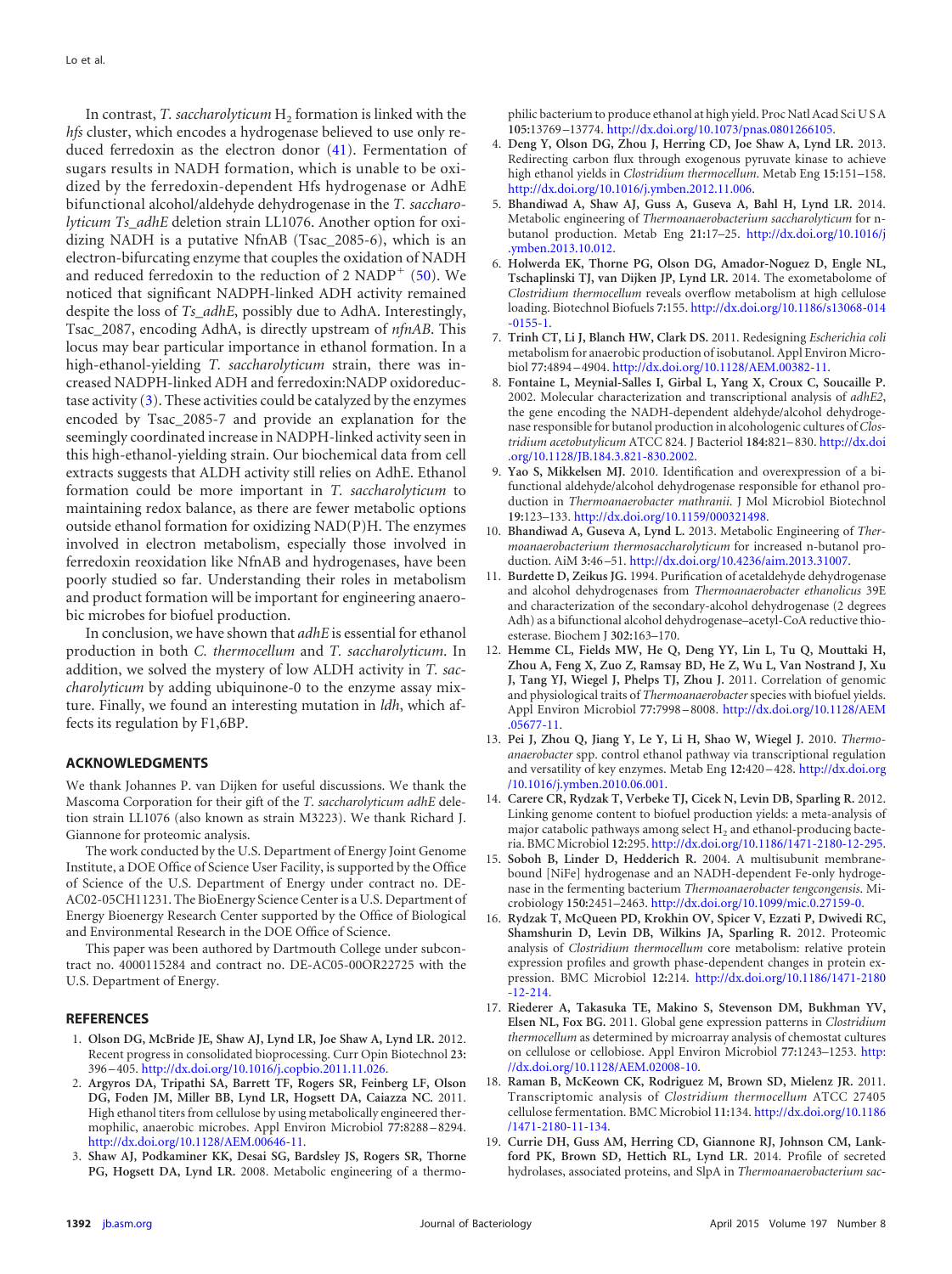In contrast, *T. saccharolyticum*  $H_2$  formation is linked with the *hfs* cluster, which encodes a hydrogenase believed to use only reduced ferredoxin as the electron donor [\(41\)](#page-8-19). Fermentation of sugars results in NADH formation, which is unable to be oxidized by the ferredoxin-dependent Hfs hydrogenase or AdhE bifunctional alcohol/aldehyde dehydrogenase in the *T. saccharolyticum Ts\_adhE* deletion strain LL1076. Another option for oxidizing NADH is a putative NfnAB (Tsac\_2085-6), which is an electron-bifurcating enzyme that couples the oxidation of NADH and reduced ferredoxin to the reduction of 2  $NADP<sup>+</sup>$  [\(50\)](#page-8-28). We noticed that significant NADPH-linked ADH activity remained despite the loss of *Ts\_adhE*, possibly due to AdhA. Interestingly, Tsac\_2087, encoding AdhA, is directly upstream of *nfnAB*. This locus may bear particular importance in ethanol formation. In a high-ethanol-yielding *T. saccharolyticum* strain, there was increased NADPH-linked ADH and ferredoxin:NADP oxidoreductase activity  $(3)$ . These activities could be catalyzed by the enzymes encoded by Tsac\_2085-7 and provide an explanation for the seemingly coordinated increase in NADPH-linked activity seen in this high-ethanol-yielding strain. Our biochemical data from cell extracts suggests that ALDH activity still relies on AdhE. Ethanol formation could be more important in *T. saccharolyticum* to maintaining redox balance, as there are fewer metabolic options outside ethanol formation for oxidizing NAD(P)H. The enzymes involved in electron metabolism, especially those involved in ferredoxin reoxidation like NfnAB and hydrogenases, have been poorly studied so far. Understanding their roles in metabolism and product formation will be important for engineering anaerobic microbes for biofuel production.

In conclusion, we have shown that *adhE* is essential for ethanol production in both *C. thermocellum* and *T. saccharolyticum*. In addition, we solved the mystery of low ALDH activity in *T. saccharolyticum* by adding ubiquinone-0 to the enzyme assay mixture. Finally, we found an interesting mutation in *ldh*, which affects its regulation by F1,6BP.

#### **ACKNOWLEDGMENTS**

We thank Johannes P. van Dijken for useful discussions. We thank the Mascoma Corporation for their gift of the *T. saccharolyticum adhE* deletion strain LL1076 (also known as strain M3223). We thank Richard J. Giannone for proteomic analysis.

The work conducted by the U.S. Department of Energy Joint Genome Institute, a DOE Office of Science User Facility, is supported by the Office of Science of the U.S. Department of Energy under contract no. DE-AC02-05CH11231. The BioEnergy Science Center is a U.S. Department of Energy Bioenergy Research Center supported by the Office of Biological and Environmental Research in the DOE Office of Science.

This paper was been authored by Dartmouth College under subcontract no. 4000115284 and contract no. DE-AC05-00OR22725 with the U.S. Department of Energy.

#### <span id="page-7-0"></span>**REFERENCES**

- <span id="page-7-1"></span>1. **Olson DG, McBride JE, Shaw AJ, Lynd LR, Joe Shaw A, Lynd LR.** 2012. Recent progress in consolidated bioprocessing. Curr Opin Biotechnol **23:** 396 – 405. [http://dx.doi.org/10.1016/j.copbio.2011.11.026.](http://dx.doi.org/10.1016/j.copbio.2011.11.026)
- 2. **Argyros DA, Tripathi SA, Barrett TF, Rogers SR, Feinberg LF, Olson DG, Foden JM, Miller BB, Lynd LR, Hogsett DA, Caiazza NC.** 2011. High ethanol titers from cellulose by using metabolically engineered thermophilic, anaerobic microbes. Appl Environ Microbiol **77:**8288 – 8294. [http://dx.doi.org/10.1128/AEM.00646-11.](http://dx.doi.org/10.1128/AEM.00646-11)
- <span id="page-7-2"></span>3. **Shaw AJ, Podkaminer KK, Desai SG, Bardsley JS, Rogers SR, Thorne PG, Hogsett DA, Lynd LR.** 2008. Metabolic engineering of a thermo-

philic bacterium to produce ethanol at high yield. Proc Natl Acad SciUSA **105:**13769 –13774. [http://dx.doi.org/10.1073/pnas.0801266105.](http://dx.doi.org/10.1073/pnas.0801266105)

- <span id="page-7-3"></span>4. **Deng Y, Olson DG, Zhou J, Herring CD, Joe Shaw A, Lynd LR.** 2013. Redirecting carbon flux through exogenous pyruvate kinase to achieve high ethanol yields in *Clostridium thermocellum*. Metab Eng **15:**151–158. [http://dx.doi.org/10.1016/j.ymben.2012.11.006.](http://dx.doi.org/10.1016/j.ymben.2012.11.006)
- <span id="page-7-4"></span>5. **Bhandiwad A, Shaw AJ, Guss A, Guseva A, Bahl H, Lynd LR.** 2014. Metabolic engineering of *Thermoanaerobacterium saccharolyticum* for nbutanol production. Metab Eng **21:**17–25. [http://dx.doi.org/10.1016/j](http://dx.doi.org/10.1016/j.ymben.2013.10.012) [.ymben.2013.10.012.](http://dx.doi.org/10.1016/j.ymben.2013.10.012)
- <span id="page-7-5"></span>6. **Holwerda EK, Thorne PG, Olson DG, Amador-Noguez D, Engle NL, Tschaplinski TJ, van Dijken JP, Lynd LR.** 2014. The exometabolome of *Clostridium thermocellum* reveals overflow metabolism at high cellulose loading. Biotechnol Biofuels **7:**155. [http://dx.doi.org/10.1186/s13068-014](http://dx.doi.org/10.1186/s13068-014-0155-1) [-0155-1.](http://dx.doi.org/10.1186/s13068-014-0155-1)
- <span id="page-7-6"></span>7. **Trinh CT, Li J, Blanch HW, Clark DS.** 2011. Redesigning *Escherichia coli* metabolism for anaerobic production of isobutanol. Appl Environ Microbiol **77:**4894 – 4904. [http://dx.doi.org/10.1128/AEM.00382-11.](http://dx.doi.org/10.1128/AEM.00382-11)
- <span id="page-7-7"></span>8. **Fontaine L, Meynial-Salles I, Girbal L, Yang X, Croux C, Soucaille P.** 2002. Molecular characterization and transcriptional analysis of *adhE2*, the gene encoding the NADH-dependent aldehyde/alcohol dehydrogenase responsible for butanol production in alcohologenic cultures of *Clostridium acetobutylicum* ATCC 824. J Bacteriol **184:**821– 830. [http://dx.doi](http://dx.doi.org/10.1128/JB.184.3.821-830.2002) [.org/10.1128/JB.184.3.821-830.2002.](http://dx.doi.org/10.1128/JB.184.3.821-830.2002)
- <span id="page-7-8"></span>9. **Yao S, Mikkelsen MJ.** 2010. Identification and overexpression of a bifunctional aldehyde/alcohol dehydrogenase responsible for ethanol production in *Thermoanaerobacter mathranii*. J Mol Microbiol Biotechnol **19:**123–133. [http://dx.doi.org/10.1159/000321498.](http://dx.doi.org/10.1159/000321498)
- <span id="page-7-9"></span>10. **Bhandiwad A, Guseva A, Lynd L.** 2013. Metabolic Engineering of *Thermoanaerobacterium thermosaccharolyticum* for increased n-butanol production. AiM **3:**46 –51. [http://dx.doi.org/10.4236/aim.2013.31007.](http://dx.doi.org/10.4236/aim.2013.31007)
- <span id="page-7-10"></span>11. **Burdette D, Zeikus JG.** 1994. Purification of acetaldehyde dehydrogenase and alcohol dehydrogenases from *Thermoanaerobacter ethanolicus* 39E and characterization of the secondary-alcohol dehydrogenase (2 degrees Adh) as a bifunctional alcohol dehydrogenase–acetyl-CoA reductive thioesterase. Biochem J **302:**163–170.
- <span id="page-7-11"></span>12. **Hemme CL, Fields MW, He Q, Deng YY, Lin L, Tu Q, Mouttaki H, Zhou A, Feng X, Zuo Z, Ramsay BD, He Z, Wu L, Van Nostrand J, Xu J, Tang YJ, Wiegel J, Phelps TJ, Zhou J.** 2011. Correlation of genomic and physiological traits of *Thermoanaerobacter* species with biofuel yields. Appl Environ Microbiol **77:**7998 – 8008. [http://dx.doi.org/10.1128/AEM](http://dx.doi.org/10.1128/AEM.05677-11) [.05677-11.](http://dx.doi.org/10.1128/AEM.05677-11)
- <span id="page-7-12"></span>13. **Pei J, Zhou Q, Jiang Y, Le Y, Li H, Shao W, Wiegel J.** 2010. *Thermoanaerobacter* spp. control ethanol pathway via transcriptional regulation and versatility of key enzymes. Metab Eng **12:**420 – 428. [http://dx.doi.org](http://dx.doi.org/10.1016/j.ymben.2010.06.001) [/10.1016/j.ymben.2010.06.001.](http://dx.doi.org/10.1016/j.ymben.2010.06.001)
- <span id="page-7-13"></span>14. **Carere CR, Rydzak T, Verbeke TJ, Cicek N, Levin DB, Sparling R.** 2012. Linking genome content to biofuel production yields: a meta-analysis of major catabolic pathways among select  $H_2$  and ethanol-producing bacteria. BMC Microbiol **12:**295. [http://dx.doi.org/10.1186/1471-2180-12-295.](http://dx.doi.org/10.1186/1471-2180-12-295)
- <span id="page-7-14"></span>15. **Soboh B, Linder D, Hedderich R.** 2004. A multisubunit membranebound [NiFe] hydrogenase and an NADH-dependent Fe-only hydrogenase in the fermenting bacterium *Thermoanaerobacter tengcongensis*. Microbiology **150:**2451–2463. [http://dx.doi.org/10.1099/mic.0.27159-0.](http://dx.doi.org/10.1099/mic.0.27159-0)
- <span id="page-7-15"></span>16. **Rydzak T, McQueen PD, Krokhin OV, Spicer V, Ezzati P, Dwivedi RC, Shamshurin D, Levin DB, Wilkins JA, Sparling R.** 2012. Proteomic analysis of *Clostridium thermocellum* core metabolism: relative protein expression profiles and growth phase-dependent changes in protein expression. BMC Microbiol **12:**214. [http://dx.doi.org/10.1186/1471-2180](http://dx.doi.org/10.1186/1471-2180-12-214) [-12-214.](http://dx.doi.org/10.1186/1471-2180-12-214)
- 17. **Riederer A, Takasuka TE, Makino S, Stevenson DM, Bukhman YV, Elsen NL, Fox BG.** 2011. Global gene expression patterns in *Clostridium thermocellum* as determined by microarray analysis of chemostat cultures on cellulose or cellobiose. Appl Environ Microbiol **77:**1243–1253. [http:](http://dx.doi.org/10.1128/AEM.02008-10) [//dx.doi.org/10.1128/AEM.02008-10.](http://dx.doi.org/10.1128/AEM.02008-10)
- <span id="page-7-16"></span>18. **Raman B, McKeown CK, Rodriguez M, Brown SD, Mielenz JR.** 2011. Transcriptomic analysis of *Clostridium thermocellum* ATCC 27405 cellulose fermentation. BMC Microbiol **11:**134. [http://dx.doi.org/10.1186](http://dx.doi.org/10.1186/1471-2180-11-134) [/1471-2180-11-134.](http://dx.doi.org/10.1186/1471-2180-11-134)
- <span id="page-7-17"></span>19. **Currie DH, Guss AM, Herring CD, Giannone RJ, Johnson CM, Lankford PK, Brown SD, Hettich RL, Lynd LR.** 2014. Profile of secreted hydrolases, associated proteins, and SlpA in *Thermoanaerobacterium sac-*